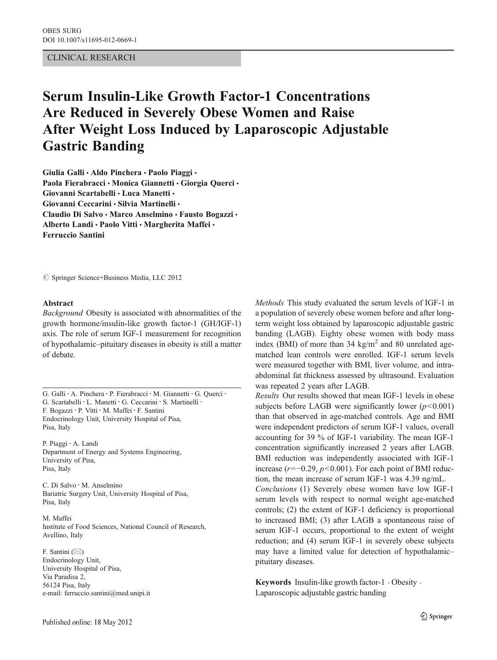## CLINICAL RESEARCH

# Serum Insulin-Like Growth Factor-1 Concentrations Are Reduced in Severely Obese Women and Raise After Weight Loss Induced by Laparoscopic Adjustable Gastric Banding

Giulia Galli · Aldo Pinchera · Paolo Piaggi · Paola Fierabracci · Monica Giannetti · Giorgia Querci · Giovanni Scartabelli · Luca Manetti · Giovanni Ceccarini · Silvia Martinelli · Claudio Di Salvo · Marco Anselmino · Fausto Bogazzi · Alberto Landi · Paolo Vitti · Margherita Maffei · Ferruccio Santini

 $\circledcirc$  Springer Science+Business Media, LLC 2012

#### Abstract

Background Obesity is associated with abnormalities of the growth hormone/insulin-like growth factor-1 (GH/IGF-1) axis. The role of serum IGF-1 measurement for recognition of hypothalamic–pituitary diseases in obesity is still a matter of debate.

G. Galli : A. Pinchera : P. Fierabracci : M. Giannetti : G. Querci : G. Scartabelli · L. Manetti · G. Ceccarini · S. Martinelli · F. Bogazzi : P. Vitti : M. Maffei : F. Santini Endocrinology Unit, University Hospital of Pisa, Pisa, Italy

P. Piaggi : A. Landi Department of Energy and Systems Engineering, University of Pisa, Pisa, Italy

C. Di Salvo : M. Anselmino Bariatric Surgery Unit, University Hospital of Pisa, Pisa, Italy

M. Maffei Institute of Food Sciences, National Council of Research, Avellino, Italy

F. Santini  $(\boxtimes)$ Endocrinology Unit, University Hospital of Pisa, Via Paradisa 2, 56124 Pisa, Italy e-mail: ferruccio.santini@med.unipi.it Methods This study evaluated the serum levels of IGF-1 in a population of severely obese women before and after longterm weight loss obtained by laparoscopic adjustable gastric banding (LAGB). Eighty obese women with body mass index (BMI) of more than 34 kg/m<sup>2</sup> and 80 unrelated agematched lean controls were enrolled. IGF-1 serum levels were measured together with BMI, liver volume, and intraabdominal fat thickness assessed by ultrasound. Evaluation was repeated 2 years after LAGB.

Results Our results showed that mean IGF-1 levels in obese subjects before LAGB were significantly lower  $(p<0.001)$ than that observed in age-matched controls. Age and BMI were independent predictors of serum IGF-1 values, overall accounting for 39 % of IGF-1 variability. The mean IGF-1 concentration significantly increased 2 years after LAGB. BMI reduction was independently associated with IGF-1 increase ( $r=-0.29$ ,  $p<0.001$ ). For each point of BMI reduction, the mean increase of serum IGF-1 was 4.39 ng/mL. Conclusions (1) Severely obese women have low IGF-1 serum levels with respect to normal weight age-matched controls; (2) the extent of IGF-1 deficiency is proportional to increased BMI; (3) after LAGB a spontaneous raise of serum IGF-1 occurs, proportional to the extent of weight reduction; and (4) serum IGF-1 in severely obese subjects may have a limited value for detection of hypothalamic– pituitary diseases.

Keywords Insulin-like growth factor-1  $\cdot$  Obesity  $\cdot$ Laparoscopic adjustable gastric banding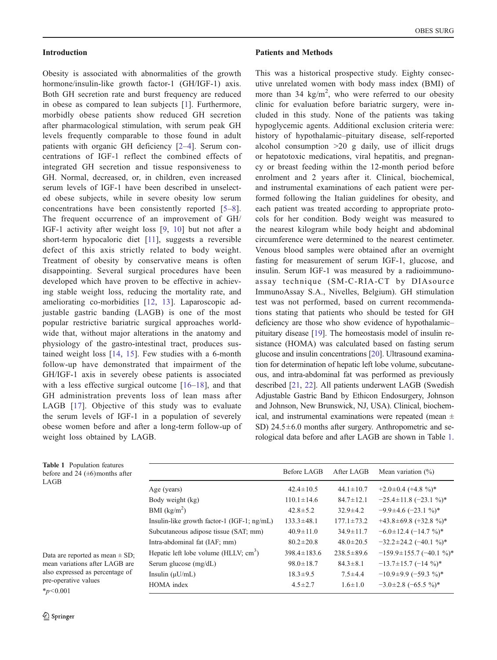#### <span id="page-1-0"></span>Introduction

Obesity is associated with abnormalities of the growth hormone/insulin-like growth factor-1 (GH/IGF-1) axis. Both GH secretion rate and burst frequency are reduced in obese as compared to lean subjects [[1](#page-3-0)]. Furthermore, morbidly obese patients show reduced GH secretion after pharmacological stimulation, with serum peak GH levels frequently comparable to those found in adult patients with organic GH deficiency [\[2](#page-3-0)–[4\]](#page-3-0). Serum concentrations of IGF-1 reflect the combined effects of integrated GH secretion and tissue responsiveness to GH. Normal, decreased, or, in children, even increased serum levels of IGF-1 have been described in unselected obese subjects, while in severe obesity low serum concentrations have been consistently reported [[5](#page-4-0)–[8](#page-4-0)]. The frequent occurrence of an improvement of GH/ IGF-1 activity after weight loss [[9](#page-4-0), [10\]](#page-4-0) but not after a short-term hypocaloric diet [[11\]](#page-4-0), suggests a reversible defect of this axis strictly related to body weight. Treatment of obesity by conservative means is often disappointing. Several surgical procedures have been developed which have proven to be effective in achieving stable weight loss, reducing the mortality rate, and ameliorating co-morbidities [[12,](#page-4-0) [13](#page-4-0)]. Laparoscopic adjustable gastric banding (LAGB) is one of the most popular restrictive bariatric surgical approaches worldwide that, without major alterations in the anatomy and physiology of the gastro-intestinal tract, produces sustained weight loss [\[14,](#page-4-0) [15](#page-4-0)]. Few studies with a 6-month follow-up have demonstrated that impairment of the GH/IGF-1 axis in severely obese patients is associated with a less effective surgical outcome [\[16](#page-4-0)–[18\]](#page-4-0), and that GH administration prevents loss of lean mass after LAGB [[17](#page-4-0)]. Objective of this study was to evaluate the serum levels of IGF-1 in a population of severely obese women before and after a long-term follow-up of weight loss obtained by LAGB.

#### Patients and Methods

This was a historical prospective study. Eighty consecutive unrelated women with body mass index (BMI) of more than 34  $\text{kg/m}^2$ , who were referred to our obesity clinic for evaluation before bariatric surgery, were included in this study. None of the patients was taking hypoglycemic agents. Additional exclusion criteria were: history of hypothalamic–pituitary disease, self-reported alcohol consumption >20 g daily, use of illicit drugs or hepatotoxic medications, viral hepatitis, and pregnancy or breast feeding within the 12-month period before enrolment and 2 years after it. Clinical, biochemical, and instrumental examinations of each patient were performed following the Italian guidelines for obesity, and each patient was treated according to appropriate protocols for her condition. Body weight was measured to the nearest kilogram while body height and abdominal circumference were determined to the nearest centimeter. Venous blood samples were obtained after an overnight fasting for measurement of serum IGF-1, glucose, and insulin. Serum IGF-1 was measured by a radioimmunoassay technique (SM-C-RIA-CT by DIAsource ImmunoAssay S.A., Nivelles, Belgium). GH stimulation test was not performed, based on current recommendations stating that patients who should be tested for GH deficiency are those who show evidence of hypothalamic– pituitary disease [[19](#page-4-0)]. The homeostasis model of insulin resistance (HOMA) was calculated based on fasting serum glucose and insulin concentrations [\[20\]](#page-4-0). Ultrasound examination for determination of hepatic left lobe volume, subcutaneous, and intra-abdominal fat was performed as previously described [[21,](#page-4-0) [22](#page-4-0)]. All patients underwent LAGB (Swedish Adjustable Gastric Band by Ethicon Endosurgery, Johnson and Johnson, New Brunswick, NJ, USA). Clinical, biochemical, and instrumental examinations were repeated (mean  $\pm$ SD) 24.5±6.0 months after surgery. Anthropometric and serological data before and after LAGB are shown in Table 1.

| <b>Table 1</b> Population features<br>before and 24 $(\pm 6)$ months after                                                                        |                                               | Before LAGB       | After LAGB       | Mean variation $(\% )$         |
|---------------------------------------------------------------------------------------------------------------------------------------------------|-----------------------------------------------|-------------------|------------------|--------------------------------|
| LAGB                                                                                                                                              | Age (years)                                   | $42.4 \pm 10.5$   | $44.1 \pm 10.7$  | $+2.0\pm0.4$ (+4.8 %)*         |
|                                                                                                                                                   | Body weight (kg)                              | $110.1 \pm 14.6$  | $84.7 \pm 12.1$  | $-25.4 \pm 11.8$ $(-23.1\%)^*$ |
|                                                                                                                                                   | BMI $(kg/m2)$                                 | $42.8 \pm 5.2$    | $32.9 \pm 4.2$   | $-9.9\pm4.6$ (-23.1 %)*        |
|                                                                                                                                                   | Insulin-like growth factor-1 $(IGF-1; ng/mL)$ | $133.3 \pm 48.1$  | $177.1 \pm 73.2$ | $+43.8 \pm 69.8 (+32.8 %)^*$   |
|                                                                                                                                                   | Subcutaneous adipose tissue (SAT; mm)         | $40.9 \pm 11.0$   | $34.9 \pm 11.7$  | $-6.0\pm12.4$ $(-14.7\%)^*$    |
|                                                                                                                                                   | Intra-abdominal fat (IAF; mm)                 | $80.2 \pm 20.8$   | $48.0 \pm 20.5$  | $-32.2 \pm 24.2$ (-40.1 %)*    |
| Data are reported as mean $\pm$ SD;<br>mean variations after LAGB are<br>also expressed as percentage of<br>pre-operative values<br>$*_{n<0.001}$ | Hepatic left lobe volume (HLLV; $cm3$ )       | $398.4 \pm 183.6$ | $238.5 \pm 89.6$ | $-159.9 \pm 155.7$ (-40.1 %)*  |
|                                                                                                                                                   | Serum glucose (mg/dL)                         | $98.0 \pm 18.7$   | $84.3 \pm 8.1$   | $-13.7 \pm 15.7$ (-14 %)*      |
|                                                                                                                                                   | Insulin $(\mu U/mL)$                          | $18.3 \pm 9.5$    | $7.5 \pm 4.4$    | $-10.9\pm9.9$ (-59.3 %)*       |
|                                                                                                                                                   | HOMA index                                    | $4.5 \pm 2.7$     | $1.6 \pm 1.0$    | $-3.0\pm2.8$ $(-65.5\%)^*$     |

<u>�</u> Springer

 $*_{p<0.001}$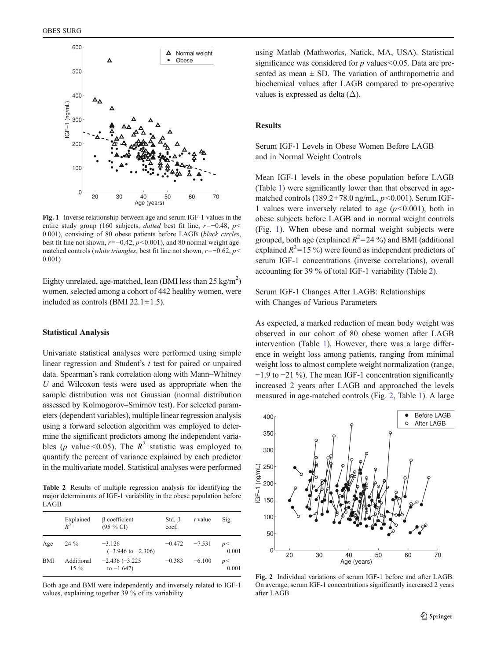

Fig. 1 Inverse relationship between age and serum IGF-1 values in the entire study group (160 subjects, *dotted* best fit line,  $r=-0.48$ ,  $p<$ 0.001), consisting of 80 obese patients before LAGB (black circles, best fit line not shown,  $r=-0.42$ ,  $p<0.001$ ), and 80 normal weight agematched controls (white triangles, best fit line not shown,  $r=-0.62$ ,  $p<$ 0.001)

Eighty unrelated, age-matched, lean (BMI less than  $25 \text{ kg/m}^2$ ) women, selected among a cohort of 442 healthy women, were included as controls (BMI 22.1 $\pm$ 1.5).

## Statistical Analysis

Univariate statistical analyses were performed using simple linear regression and Student's  $t$  test for paired or unpaired data. Spearman's rank correlation along with Mann–Whitney U and Wilcoxon tests were used as appropriate when the sample distribution was not Gaussian (normal distribution assessed by Kolmogorov–Smirnov test). For selected parameters (dependent variables), multiple linear regression analysis using a forward selection algorithm was employed to determine the significant predictors among the independent variables (p value < 0.05). The  $R^2$  statistic was employed to quantify the percent of variance explained by each predictor in the multivariate model. Statistical analyses were performed

Table 2 Results of multiple regression analysis for identifying the major determinants of IGF-1 variability in the obese population before LAGB

|            | Explained<br>$R^2$   | $\beta$ coefficient<br>$(95 \%$ CI        | Std. $\beta$<br>coef. | $t$ value | Sig.        |
|------------|----------------------|-------------------------------------------|-----------------------|-----------|-------------|
| Age        | $24\%$               | $-3.126$<br>$(-3.946 \text{ to } -2.306)$ | $-0.472$ $-7.531$     |           | p<<br>0.001 |
| <b>BMI</b> | Additional<br>$15\%$ | $-2.436(-3.225)$<br>to $-1.647$ )         | $-0.383$              | $-6.100$  | p<<br>0.001 |

Both age and BMI were independently and inversely related to IGF-1 values, explaining together 39 % of its variability

using Matlab (Mathworks, Natick, MA, USA). Statistical significance was considered for  $p$  values < 0.05. Data are presented as mean  $\pm$  SD. The variation of anthropometric and biochemical values after LAGB compared to pre-operative values is expressed as delta  $(\Delta)$ .

## **Results**

## Serum IGF-1 Levels in Obese Women Before LAGB and in Normal Weight Controls

Mean IGF-1 levels in the obese population before LAGB (Table [1](#page-1-0)) were significantly lower than that observed in agematched controls (189.2 $\pm$ 78.0 ng/mL,  $p$ <0.001). Serum IGF-1 values were inversely related to age  $(p<0.001)$ , both in obese subjects before LAGB and in normal weight controls (Fig. 1). When obese and normal weight subjects were grouped, both age (explained  $R^2 = 24\%$ ) and BMI (additional explained  $R^2$ =15 %) were found as independent predictors of serum IGF-1 concentrations (inverse correlations), overall accounting for 39 % of total IGF-1 variability (Table 2).

Serum IGF-1 Changes After LAGB: Relationships with Changes of Various Parameters

As expected, a marked reduction of mean body weight was observed in our cohort of 80 obese women after LAGB intervention (Table [1](#page-1-0)). However, there was a large difference in weight loss among patients, ranging from minimal weight loss to almost complete weight normalization (range, −1.9 to −21 %). The mean IGF-1 concentration significantly increased 2 years after LAGB and approached the levels measured in age-matched controls (Fig. 2, Table [1](#page-1-0)). A large



Fig. 2 Individual variations of serum IGF-1 before and after LAGB. On average, serum IGF-1 concentrations significantly increased 2 years after LAGB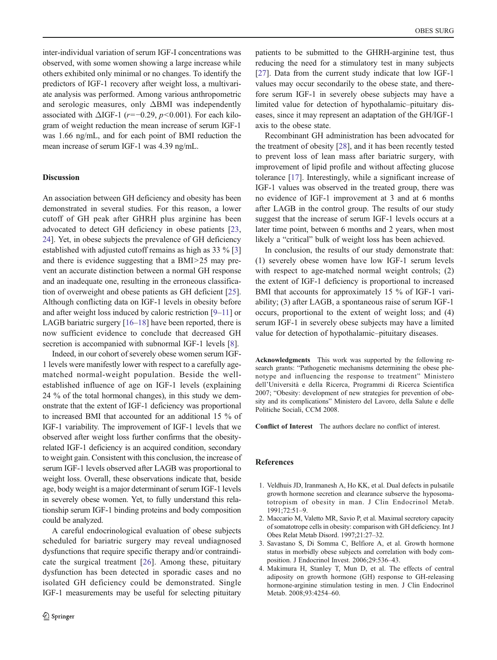<span id="page-3-0"></span>inter-individual variation of serum IGF-I concentrations was observed, with some women showing a large increase while others exhibited only minimal or no changes. To identify the predictors of IGF-1 recovery after weight loss, a multivariate analysis was performed. Among various anthropometric and serologic measures, only ΔBMI was independently associated with  $\triangle IGF-1$  (r=−0.29, p<0.001). For each kilogram of weight reduction the mean increase of serum IGF-1 was 1.66 ng/mL, and for each point of BMI reduction the mean increase of serum IGF-1 was 4.39 ng/mL.

## Discussion

An association between GH deficiency and obesity has been demonstrated in several studies. For this reason, a lower cutoff of GH peak after GHRH plus arginine has been advocated to detect GH deficiency in obese patients [[23,](#page-4-0) [24\]](#page-4-0). Yet, in obese subjects the prevalence of GH deficiency established with adjusted cutoff remains as high as 33 % [3] and there is evidence suggesting that a BMI>25 may prevent an accurate distinction between a normal GH response and an inadequate one, resulting in the erroneous classification of overweight and obese patients as GH deficient [\[25](#page-4-0)]. Although conflicting data on IGF-1 levels in obesity before and after weight loss induced by caloric restriction [[9](#page-4-0)–[11](#page-4-0)] or LAGB bariatric surgery [\[16](#page-4-0)–[18](#page-4-0)] have been reported, there is now sufficient evidence to conclude that decreased GH secretion is accompanied with subnormal IGF-1 levels [[8\]](#page-4-0).

Indeed, in our cohort of severely obese women serum IGF-1 levels were manifestly lower with respect to a carefully agematched normal-weight population. Beside the wellestablished influence of age on IGF-1 levels (explaining 24 % of the total hormonal changes), in this study we demonstrate that the extent of IGF-1 deficiency was proportional to increased BMI that accounted for an additional 15 % of IGF-1 variability. The improvement of IGF-1 levels that we observed after weight loss further confirms that the obesityrelated IGF-1 deficiency is an acquired condition, secondary to weight gain. Consistent with this conclusion, the increase of serum IGF-1 levels observed after LAGB was proportional to weight loss. Overall, these observations indicate that, beside age, body weight is a major determinant of serum IGF-1 levels in severely obese women. Yet, to fully understand this relationship serum IGF-1 binding proteins and body composition could be analyzed.

A careful endocrinological evaluation of obese subjects scheduled for bariatric surgery may reveal undiagnosed dysfunctions that require specific therapy and/or contraindicate the surgical treatment [\[26](#page-4-0)]. Among these, pituitary dysfunction has been detected in sporadic cases and no isolated GH deficiency could be demonstrated. Single IGF-1 measurements may be useful for selecting pituitary patients to be submitted to the GHRH-arginine test, thus reducing the need for a stimulatory test in many subjects [\[27](#page-4-0)]. Data from the current study indicate that low IGF-1 values may occur secondarily to the obese state, and therefore serum IGF-1 in severely obese subjects may have a limited value for detection of hypothalamic–pituitary diseases, since it may represent an adaptation of the GH/IGF-1 axis to the obese state.

Recombinant GH administration has been advocated for the treatment of obesity [\[28](#page-4-0)], and it has been recently tested to prevent loss of lean mass after bariatric surgery, with improvement of lipid profile and without affecting glucose tolerance [[17\]](#page-4-0). Interestingly, while a significant increase of IGF-1 values was observed in the treated group, there was no evidence of IGF-1 improvement at 3 and at 6 months after LAGB in the control group. The results of our study suggest that the increase of serum IGF-1 levels occurs at a later time point, between 6 months and 2 years, when most likely a "critical" bulk of weight loss has been achieved.

In conclusion, the results of our study demonstrate that: (1) severely obese women have low IGF-1 serum levels with respect to age-matched normal weight controls; (2) the extent of IGF-1 deficiency is proportional to increased BMI that accounts for approximately 15 % of IGF-1 variability; (3) after LAGB, a spontaneous raise of serum IGF-1 occurs, proportional to the extent of weight loss; and (4) serum IGF-1 in severely obese subjects may have a limited value for detection of hypothalamic–pituitary diseases.

Acknowledgments This work was supported by the following research grants: "Pathogenetic mechanisms determining the obese phenotype and influencing the response to treatment" Ministero dell'Università e della Ricerca, Programmi di Ricerca Scientifica 2007; "Obesity: development of new strategies for prevention of obesity and its complications" Ministero del Lavoro, della Salute e delle Politiche Sociali, CCM 2008.

Conflict of Interest The authors declare no conflict of interest.

#### References

- 1. Veldhuis JD, Iranmanesh A, Ho KK, et al. Dual defects in pulsatile growth hormone secretion and clearance subserve the hyposomatotropism of obesity in man. J Clin Endocrinol Metab. 1991;72:51–9.
- 2. Maccario M, Valetto MR, Savio P, et al. Maximal secretory capacity of somatotrope cells in obesity: comparison with GH deficiency. Int J Obes Relat Metab Disord. 1997;21:27–32.
- 3. Savastano S, Di Somma C, Belfiore A, et al. Growth hormone status in morbidly obese subjects and correlation with body composition. J Endocrinol Invest. 2006;29:536–43.
- 4. Makimura H, Stanley T, Mun D, et al. The effects of central adiposity on growth hormone (GH) response to GH-releasing hormone-arginine stimulation testing in men. J Clin Endocrinol Metab. 2008;93:4254–60.